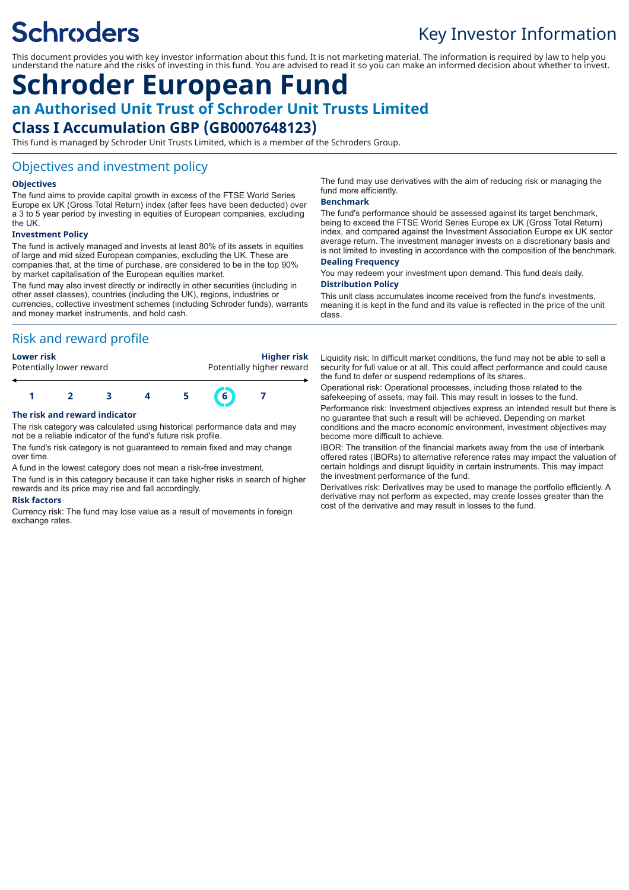# **Schroders**

## Key Investor Information

This document provides you with key investor information about this fund. It is not marketing material. The information is required by law to help you understand the nature and the risks of investing in this fund. You are advised to read it so you can make an informed decision about whether to invest.

### **Schroder European Fund an Authorised Unit Trust of Schroder Unit Trusts Limited Class I Accumulation GBP (GB0007648123)**

This fund is managed by Schroder Unit Trusts Limited, which is a member of the Schroders Group.

#### Objectives and investment policy

#### **Objectives**

The fund aims to provide capital growth in excess of the FTSE World Series Europe ex UK (Gross Total Return) index (after fees have been deducted) over a 3 to 5 year period by investing in equities of European companies, excluding the UK.

#### **Investment Policy**

The fund is actively managed and invests at least 80% of its assets in equities of large and mid sized European companies, excluding the UK. These are companies that, at the time of purchase, are considered to be in the top 90% by market capitalisation of the European equities market.

The fund may also invest directly or indirectly in other securities (including in other asset classes), countries (including the UK), regions, industries or currencies, collective investment schemes (including Schroder funds), warrants and money market instruments, and hold cash.

#### Risk and reward profile



#### **The risk and reward indicator**

The risk category was calculated using historical performance data and may not be a reliable indicator of the fund's future risk profile.

The fund's risk category is not guaranteed to remain fixed and may change over time.

A fund in the lowest category does not mean a risk-free investment.

The fund is in this category because it can take higher risks in search of higher rewards and its price may rise and fall accordingly.

#### **Risk factors**

Currency risk: The fund may lose value as a result of movements in foreign exchange rates.

The fund may use derivatives with the aim of reducing risk or managing the fund more efficiently.

#### **Benchmark**

The fund's performance should be assessed against its target benchmark, being to exceed the FTSE World Series Europe ex UK (Gross Total Return) index, and compared against the Investment Association Europe ex UK sector average return. The investment manager invests on a discretionary basis and is not limited to investing in accordance with the composition of the benchmark. **Dealing Frequency**

You may redeem your investment upon demand. This fund deals daily. **Distribution Policy**

This unit class accumulates income received from the fund's investments, meaning it is kept in the fund and its value is reflected in the price of the unit class.

Liquidity risk: In difficult market conditions, the fund may not be able to sell a security for full value or at all. This could affect performance and could cause the fund to defer or suspend redemptions of its shares.

Operational risk: Operational processes, including those related to the safekeeping of assets, may fail. This may result in losses to the fund.

Performance risk: Investment objectives express an intended result but there is no guarantee that such a result will be achieved. Depending on market conditions and the macro economic environment, investment objectives may become more difficult to achieve.

IBOR: The transition of the financial markets away from the use of interbank offered rates (IBORs) to alternative reference rates may impact the valuation of certain holdings and disrupt liquidity in certain instruments. This may impact the investment performance of the fund.

Derivatives risk: Derivatives may be used to manage the portfolio efficiently. A derivative may not perform as expected, may create losses greater than the cost of the derivative and may result in losses to the fund.